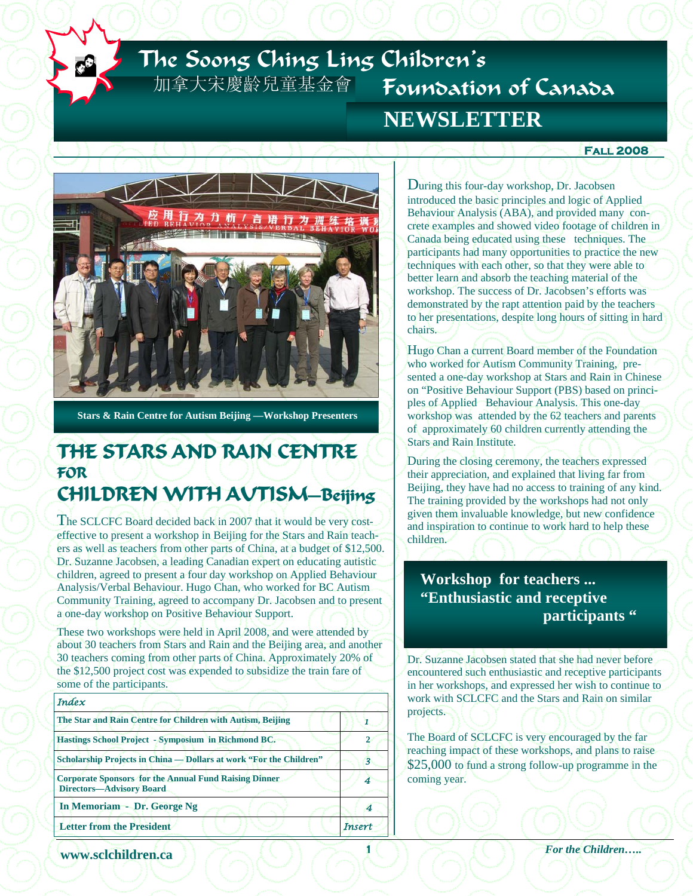# The Soong Ching Ling Children's 加拿大宋慶齡兒童基金會 Foundation of Canada  **NEWSLETTER**

#### **Fall 2008**



**Stars & Rain Centre for Autism Beijing —Workshop Presenters**

# **THE STARS AND RAIN CENTRE FOR**

## **CHILDREN WITH AUTISM—Beijing**

The SCLCFC Board decided back in 2007 that it would be very costeffective to present a workshop in Beijing for the Stars and Rain teachers as well as teachers from other parts of China, at a budget of \$12,500. Dr. Suzanne Jacobsen, a leading Canadian expert on educating autistic children, agreed to present a four day workshop on Applied Behaviour Analysis/Verbal Behaviour. Hugo Chan, who worked for BC Autism Community Training, agreed to accompany Dr. Jacobsen and to present a one-day workshop on Positive Behaviour Support.

These two workshops were held in April 2008, and were attended by about 30 teachers from Stars and Rain and the Beijing area, and another 30 teachers coming from other parts of China. Approximately 20% of the \$12,500 project cost was expended to subsidize the train fare of some of the participants.

| Index                                                                                    |               |
|------------------------------------------------------------------------------------------|---------------|
| The Star and Rain Centre for Children with Autism, Beijing                               |               |
| Hastings School Project - Symposium in Richmond BC.                                      |               |
| Scholarship Projects in China — Dollars at work "For the Children"                       |               |
| <b>Corporate Sponsors for the Annual Fund Raising Dinner</b><br>Directors-Advisory Board |               |
| In Memoriam - Dr. George Ng                                                              |               |
| <b>Letter from the President</b>                                                         | <b>Insert</b> |
|                                                                                          |               |

During this four-day workshop, Dr. Jacobsen introduced the basic principles and logic of Applied Behaviour Analysis (ABA), and provided many concrete examples and showed video footage of children in Canada being educated using these techniques. The participants had many opportunities to practice the new techniques with each other, so that they were able to better learn and absorb the teaching material of the workshop. The success of Dr. Jacobsen's efforts was demonstrated by the rapt attention paid by the teachers to her presentations, despite long hours of sitting in hard chairs.

Hugo Chan a current Board member of the Foundation who worked for Autism Community Training, presented a one-day workshop at Stars and Rain in Chinese on "Positive Behaviour Support (PBS) based on principles of Applied Behaviour Analysis. This one-day workshop was attended by the 62 teachers and parents of approximately 60 children currently attending the Stars and Rain Institute.

During the closing ceremony, the teachers expressed their appreciation, and explained that living far from Beijing, they have had no access to training of any kind. The training provided by the workshops had not only given them invaluable knowledge, but new confidence and inspiration to continue to work hard to help these children.

### **Workshop for teachers ... "Enthusiastic and receptive participants "**

Dr. Suzanne Jacobsen stated that she had never before encountered such enthusiastic and receptive participants in her workshops, and expressed her wish to continue to work with SCLCFC and the Stars and Rain on similar projects.

The Board of SCLCFC is very encouraged by the far reaching impact of these workshops, and plans to raise \$25,000 to fund a strong follow-up programme in the coming year.

*xww.sclchildren.ca* ) 2 1 1 1 1 1 For the Children.....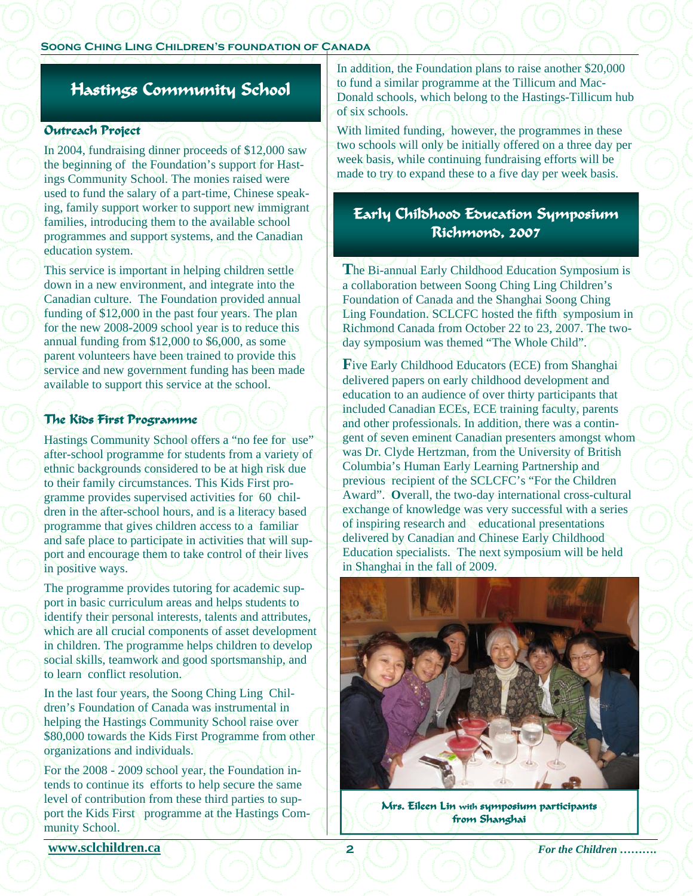#### **Soong Ching Ling Children's foundation of Canada**

## **Hastings Community School**

#### **Outreach Project**

In 2004, fundraising dinner proceeds of \$12,000 saw the beginning of the Foundation's support for Hastings Community School. The monies raised were used to fund the salary of a part-time, Chinese speaking, family support worker to support new immigrant families, introducing them to the available school programmes and support systems, and the Canadian education system.

This service is important in helping children settle down in a new environment, and integrate into the Canadian culture. The Foundation provided annual funding of \$12,000 in the past four years. The plan for the new 2008-2009 school year is to reduce this annual funding from \$12,000 to \$6,000, as some parent volunteers have been trained to provide this service and new government funding has been made available to support this service at the school.

#### **The Kids First Programme**

Hastings Community School offers a "no fee for use" after-school programme for students from a variety of ethnic backgrounds considered to be at high risk due to their family circumstances. This Kids First programme provides supervised activities for 60 children in the after-school hours, and is a literacy based programme that gives children access to a familiar and safe place to participate in activities that will support and encourage them to take control of their lives in positive ways.

The programme provides tutoring for academic support in basic curriculum areas and helps students to identify their personal interests, talents and attributes, which are all crucial components of asset development in children. The programme helps children to develop social skills, teamwork and good sportsmanship, and to learn conflict resolution.

In the last four years, the Soong Ching Ling Children's Foundation of Canada was instrumental in helping the Hastings Community School raise over \$80,000 towards the Kids First Programme from other organizations and individuals.

For the 2008 - 2009 school year, the Foundation intends to continue its efforts to help secure the same level of contribution from these third parties to support the Kids First programme at the Hastings Community School.

In addition, the Foundation plans to raise another \$20,000 to fund a similar programme at the Tillicum and Mac-Donald schools, which belong to the Hastings-Tillicum hub of six schools.

With limited funding, however, the programmes in these two schools will only be initially offered on a three day per week basis, while continuing fundraising efforts will be made to try to expand these to a five day per week basis.

### **Early Childhood Education Symposium Richmond, 2007**

**T**he Bi-annual Early Childhood Education Symposium is a collaboration between Soong Ching Ling Children's Foundation of Canada and the Shanghai Soong Ching Ling Foundation. SCLCFC hosted the fifth symposium in Richmond Canada from October 22 to 23, 2007. The twoday symposium was themed "The Whole Child".

**F**ive Early Childhood Educators (ECE) from Shanghai delivered papers on early childhood development and education to an audience of over thirty participants that included Canadian ECEs, ECE training faculty, parents and other professionals. In addition, there was a contingent of seven eminent Canadian presenters amongst whom was Dr. Clyde Hertzman, from the University of British Columbia's Human Early Learning Partnership and previous recipient of the SCLCFC's "For the Children Award". **O**verall, the two-day international cross-cultural exchange of knowledge was very successful with a series of inspiring research and educational presentations delivered by Canadian and Chinese Early Childhood Education specialists. The next symposium will be held in Shanghai in the fall of 2009.



**Mrs. Eileen Lin with symposium participants from Shanghai** 

**www.sclchildren.ca**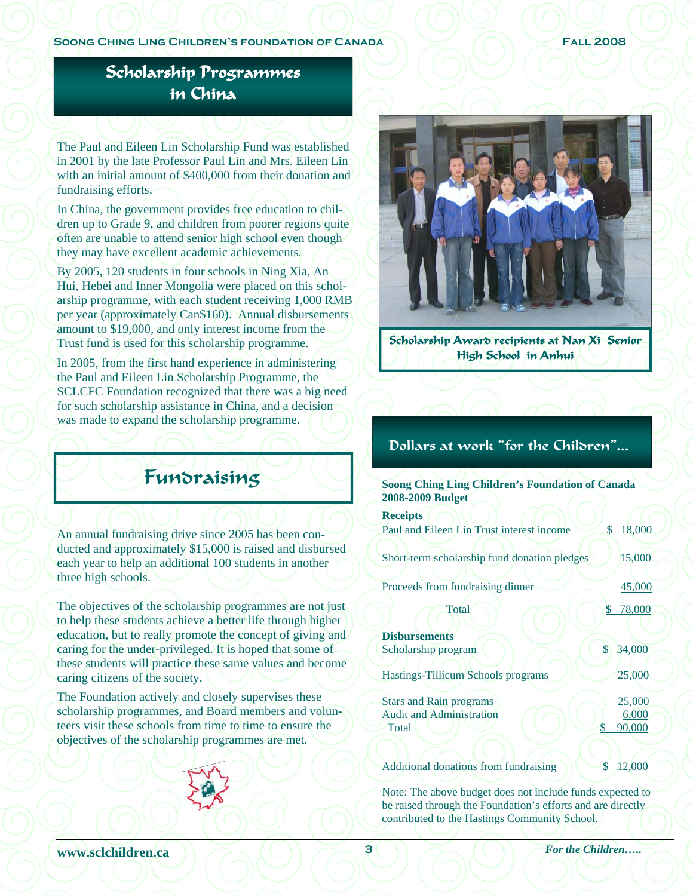## **Scholarship Programmes in China**

The Paul and Eileen Lin Scholarship Fund was established in 2001 by the late Professor Paul Lin and Mrs. Eileen Lin with an initial amount of \$400,000 from their donation and fundraising efforts.

In China, the government provides free education to children up to Grade 9, and children from poorer regions quite often are unable to attend senior high school even though they may have excellent academic achievements.

By 2005, 120 students in four schools in Ning Xia, An Hui, Hebei and Inner Mongolia were placed on this scholarship programme, with each student receiving 1,000 RMB per year (approximately Can\$160). Annual disbursements amount to \$19,000, and only interest income from the Trust fund is used for this scholarship programme.

In 2005, from the first hand experience in administering the Paul and Eileen Lin Scholarship Programme, the SCLCFC Foundation recognized that there was a big need for such scholarship assistance in China, and a decision was made to expand the scholarship programme.

# Fundraising

An annual fundraising drive since 2005 has been conducted and approximately \$15,000 is raised and disbursed each year to help an additional 100 students in another three high schools.

The objectives of the scholarship programmes are not just to help these students achieve a better life through higher education, but to really promote the concept of giving and caring for the under-privileged. It is hoped that some of these students will practice these same values and become caring citizens of the society.

The Foundation actively and closely supervises these scholarship programmes, and Board members and volunteers visit these schools from time to time to ensure the objectives of the scholarship programmes are met.



**Scholarship Award recipients at Nan Xi Senior High School in Anhui** 

## Dollars at work "for the Children"...

| <b>Soong Ching Ling Children's Foundation of Canada</b><br>2008-2009 Budget |              |
|-----------------------------------------------------------------------------|--------------|
| <b>Receipts</b>                                                             |              |
| Paul and Eileen Lin Trust interest income                                   | 18,000<br>\$ |
| Short-term scholarship fund donation pledges                                | 15,000       |
| Proceeds from fundraising dinner                                            | 45,000       |
| Total                                                                       | \$<br>78,000 |
| <b>Disbursements</b>                                                        |              |
| Scholarship program                                                         | \$<br>34,000 |
| <b>Hastings-Tillicum Schools programs</b>                                   | 25,000       |
| <b>Stars and Rain programs</b>                                              | 25,000       |
| <b>Audit and Administration</b>                                             | 6,000        |
| Total                                                                       | 90,000<br>S  |
|                                                                             |              |
| <b>Additional donations from fundraising</b>                                | 12,000       |

Note: The above budget does not include funds expected to be raised through the Foundation's efforts and are directly contributed to the Hastings Community School.

*xww.sclchildren.ca*  $\left(\frac{1}{2}, \frac{3}{2}\right)$   $\left(\frac{3}{2}, \frac{1}{2}\right)$  For the Children…..